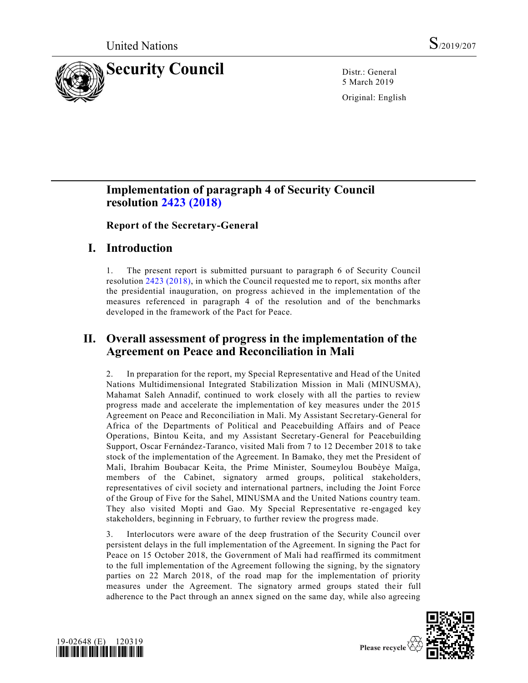

5 March 2019

Original: English

# **Implementation of paragraph 4 of Security Council resolution [2423 \(2018\)](https://undocs.org/en/S/RES/2423%20(2018))**

**Report of the Secretary-General**

# **I. Introduction**

1. The present report is submitted pursuant to paragraph 6 of Security Council resolution [2423 \(2018\),](https://undocs.org/en/S/RES/2423%20(2018)) in which the Council requested me to report, six months after the presidential inauguration, on progress achieved in the implementation of the measures referenced in paragraph 4 of the resolution and of the benchmarks developed in the framework of the Pact for Peace.

# **II. Overall assessment of progress in the implementation of the Agreement on Peace and Reconciliation in Mali**

2. In preparation for the report, my Special Representative and Head of the United Nations Multidimensional Integrated Stabilization Mission in Mali (MINUSMA), Mahamat Saleh Annadif, continued to work closely with all the parties to review progress made and accelerate the implementation of key measures under the 2015 Agreement on Peace and Reconciliation in Mali. My Assistant Secretary-General for Africa of the Departments of Political and Peacebuilding Affairs and of Peace Operations, Bintou Keita, and my Assistant Secretary-General for Peacebuilding Support, Oscar Fernández-Taranco, visited Mali from 7 to 12 December 2018 to take stock of the implementation of the Agreement. In Bamako, they met the President of Mali, Ibrahim Boubacar Keita, the Prime Minister, Soumeylou Boubèye Maïga, members of the Cabinet, signatory armed groups, political stakeholders, representatives of civil society and international partners, including the Joint Force of the Group of Five for the Sahel, MINUSMA and the United Nations country team. They also visited Mopti and Gao. My Special Representative re-engaged key stakeholders, beginning in February, to further review the progress made.

3. Interlocutors were aware of the deep frustration of the Security Council over persistent delays in the full implementation of the Agreement. In signing the Pact for Peace on 15 October 2018, the Government of Mali had reaffirmed its commitment to the full implementation of the Agreement following the signing, by the signatory parties on 22 March 2018, of the road map for the implementation of priority measures under the Agreement. The signatory armed groups stated their full adherence to the Pact through an annex signed on the same day, while also agreeing



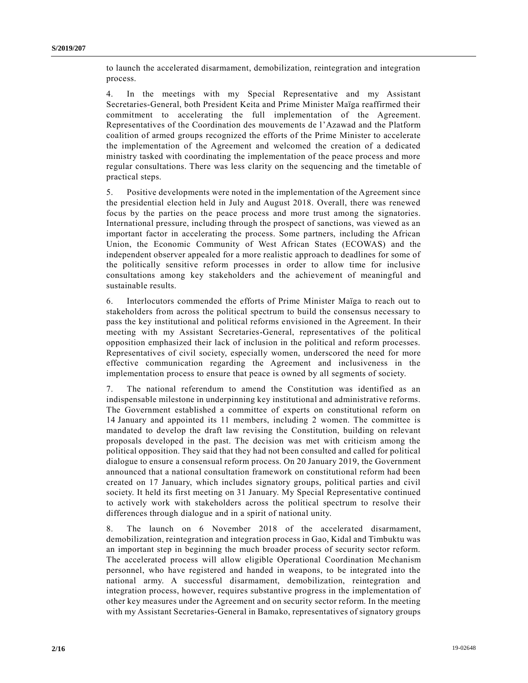to launch the accelerated disarmament, demobilization, reintegration and integration process.

4. In the meetings with my Special Representative and my Assistant Secretaries-General, both President Keita and Prime Minister Maïga reaffirmed their commitment to accelerating the full implementation of the Agreement. Representatives of the Coordination des mouvements de l'Azawad and the Platform coalition of armed groups recognized the efforts of the Prime Minister to accelerate the implementation of the Agreement and welcomed the creation of a dedicated ministry tasked with coordinating the implementation of the peace process and more regular consultations. There was less clarity on the sequencing and the timetable of practical steps.

5. Positive developments were noted in the implementation of the Agreement since the presidential election held in July and August 2018. Overall, there was renewed focus by the parties on the peace process and more trust among the signatories. International pressure, including through the prospect of sanctions, was viewed as an important factor in accelerating the process. Some partners, including the African Union, the Economic Community of West African States (ECOWAS) and the independent observer appealed for a more realistic approach to deadlines for some of the politically sensitive reform processes in order to allow time for inclusive consultations among key stakeholders and the achievement of meaningful and sustainable results.

6. Interlocutors commended the efforts of Prime Minister Maïga to reach out to stakeholders from across the political spectrum to build the consensus necessary to pass the key institutional and political reforms envisioned in the Agreement. In their meeting with my Assistant Secretaries-General, representatives of the political opposition emphasized their lack of inclusion in the political and reform processes. Representatives of civil society, especially women, underscored the need for more effective communication regarding the Agreement and inclusiveness in the implementation process to ensure that peace is owned by all segments of society.

7. The national referendum to amend the Constitution was identified as an indispensable milestone in underpinning key institutional and administrative reforms. The Government established a committee of experts on constitutional reform on 14 January and appointed its 11 members, including 2 women. The committee is mandated to develop the draft law revising the Constitution, building on relevant proposals developed in the past. The decision was met with criticism among the political opposition. They said that they had not been consulted and called for political dialogue to ensure a consensual reform process. On 20 January 2019, the Government announced that a national consultation framework on constitutional reform had been created on 17 January, which includes signatory groups, political parties and civil society. It held its first meeting on 31 January. My Special Representative continued to actively work with stakeholders across the political spectrum to resolve their differences through dialogue and in a spirit of national unity.

8. The launch on 6 November 2018 of the accelerated disarmament, demobilization, reintegration and integration process in Gao, Kidal and Timbuktu was an important step in beginning the much broader process of security sector reform. The accelerated process will allow eligible Operational Coordination Me chanism personnel, who have registered and handed in weapons, to be integrated into the national army. A successful disarmament, demobilization, reintegration and integration process, however, requires substantive progress in the implementation of other key measures under the Agreement and on security sector reform. In the meeting with my Assistant Secretaries-General in Bamako, representatives of signatory groups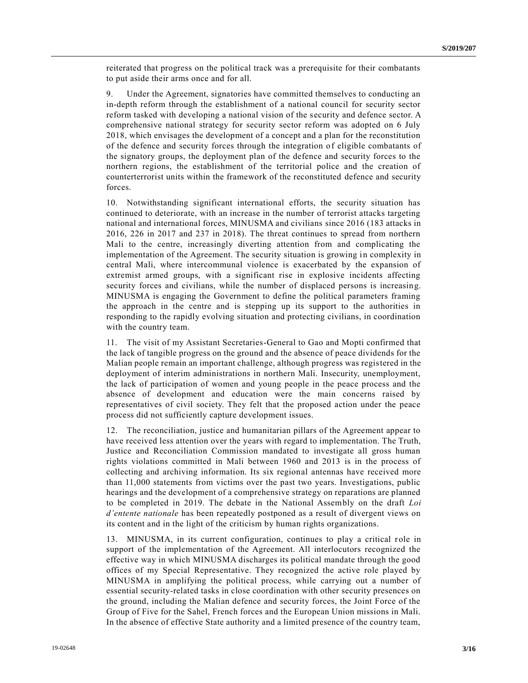reiterated that progress on the political track was a prerequisite for their combatants to put aside their arms once and for all.

9. Under the Agreement, signatories have committed themselves to conducting an in-depth reform through the establishment of a national council for security sector reform tasked with developing a national vision of the security and defence sector. A comprehensive national strategy for security sector reform was adopted on 6 July 2018, which envisages the development of a concept and a plan for the reconstitution of the defence and security forces through the integration of eligible combatants of the signatory groups, the deployment plan of the defence and security forces to the northern regions, the establishment of the territorial police and the creation of counterterrorist units within the framework of the reconstituted defence and security forces.

10. Notwithstanding significant international efforts, the security situation has continued to deteriorate, with an increase in the number of terrorist attacks targeting national and international forces, MINUSMA and civilians since 2016 (183 attacks in 2016, 226 in 2017 and 237 in 2018). The threat continues to spread from northern Mali to the centre, increasingly diverting attention from and complicating the implementation of the Agreement. The security situation is growing in complexity in central Mali, where intercommunal violence is exacerbated by the expansion of extremist armed groups, with a significant rise in explosive incidents affecting security forces and civilians, while the number of displaced persons is increasing. MINUSMA is engaging the Government to define the political parameters framing the approach in the centre and is stepping up its support to the authorities in responding to the rapidly evolving situation and protecting civilians, in coordination with the country team.

11. The visit of my Assistant Secretaries-General to Gao and Mopti confirmed that the lack of tangible progress on the ground and the absence of peace dividends for the Malian people remain an important challenge, although progress was registered in the deployment of interim administrations in northern Mali. Insecurity, unemployment, the lack of participation of women and young people in the peace process and the absence of development and education were the main concerns raised by representatives of civil society. They felt that the proposed action under the peace process did not sufficiently capture development issues.

12. The reconciliation, justice and humanitarian pillars of the Agreement appear to have received less attention over the years with regard to implementation. The Truth, Justice and Reconciliation Commission mandated to investigate all gross human rights violations committed in Mali between 1960 and 2013 is in the process of collecting and archiving information. Its six regional antennas have received more than 11,000 statements from victims over the past two years. Investigations, public hearings and the development of a comprehensive strategy on reparations are planned to be completed in 2019. The debate in the National Assembly on the draft *Loi d'entente nationale* has been repeatedly postponed as a result of divergent views on its content and in the light of the criticism by human rights organizations.

13. MINUSMA, in its current configuration, continues to play a critical role in support of the implementation of the Agreement. All interlocutors recognized the effective way in which MINUSMA discharges its political mandate through the good offices of my Special Representative. They recognized the active role played by MINUSMA in amplifying the political process, while carrying out a number of essential security-related tasks in close coordination with other security presences on the ground, including the Malian defence and security forces, the Joint Force of the Group of Five for the Sahel, French forces and the European Union missions in Mali. In the absence of effective State authority and a limited presence of the country team,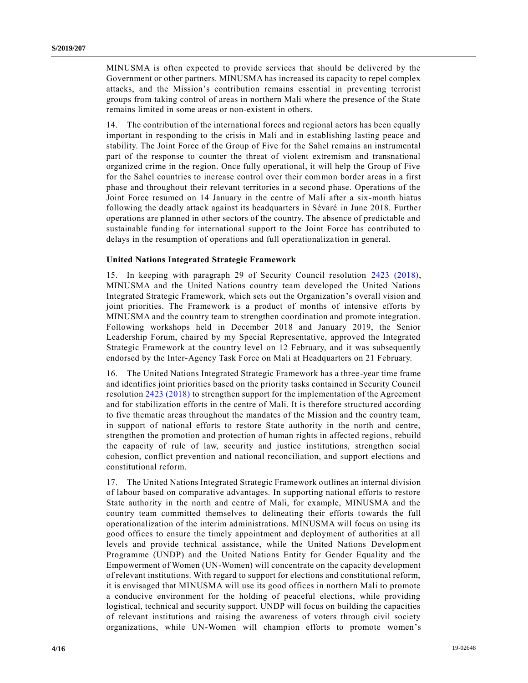MINUSMA is often expected to provide services that should be delivered by the Government or other partners. MINUSMA has increased its capacity to repel complex attacks, and the Mission's contribution remains essential in preventing terrorist groups from taking control of areas in northern Mali where the presence of the State remains limited in some areas or non-existent in others.

14. The contribution of the international forces and regional actors has been equally important in responding to the crisis in Mali and in establishing lasting peace and stability. The Joint Force of the Group of Five for the Sahel remains an instrumental part of the response to counter the threat of violent extremism and transnational organized crime in the region. Once fully operational, it will help the Group of Five for the Sahel countries to increase control over their common border areas in a first phase and throughout their relevant territories in a second phase. Operations of the Joint Force resumed on 14 January in the centre of Mali after a six-month hiatus following the deadly attack against its headquarters in Sévaré in June 2018. Further operations are planned in other sectors of the country. The absence of predictable and sustainable funding for international support to the Joint Force has contributed to delays in the resumption of operations and full operationalization in general.

#### **United Nations Integrated Strategic Framework**

15. In keeping with paragraph 29 of Security Council resolution [2423 \(2018\),](https://undocs.org/en/S/RES/2423%20(2018)) MINUSMA and the United Nations country team developed the United Nations Integrated Strategic Framework, which sets out the Organization's overall vision and joint priorities. The Framework is a product of months of intensive efforts by MINUSMA and the country team to strengthen coordination and promote integration. Following workshops held in December 2018 and January 2019, the Senior Leadership Forum, chaired by my Special Representative, approved the Integrated Strategic Framework at the country level on 12 February, and it was subsequently endorsed by the Inter-Agency Task Force on Mali at Headquarters on 21 February.

16. The United Nations Integrated Strategic Framework has a three-year time frame and identifies joint priorities based on the priority tasks contained in Security Council resolutio[n 2423 \(2018\)](https://undocs.org/en/S/RES/2423%20(2018)) to strengthen support for the implementation of the Agreement and for stabilization efforts in the centre of Mali. It is therefore structured according to five thematic areas throughout the mandates of the Mission and the country team, in support of national efforts to restore State authority in the north and centre, strengthen the promotion and protection of human rights in affected regions, rebuild the capacity of rule of law, security and justice institutions, strengthen social cohesion, conflict prevention and national reconciliation, and support elections and constitutional reform.

17. The United Nations Integrated Strategic Framework outlines an internal division of labour based on comparative advantages. In supporting national efforts to restore State authority in the north and centre of Mali, for example, MINUSMA and the country team committed themselves to delineating their efforts towards the full operationalization of the interim administrations. MINUSMA will focus on using its good offices to ensure the timely appointment and deployment of authorities at all levels and provide technical assistance, while the United Nations Development Programme (UNDP) and the United Nations Entity for Gender Equality and the Empowerment of Women (UN-Women) will concentrate on the capacity development of relevant institutions. With regard to support for elections and constitutional reform, it is envisaged that MINUSMA will use its good offices in northern Mali to promote a conducive environment for the holding of peaceful elections, while providing logistical, technical and security support. UNDP will focus on building the capacities of relevant institutions and raising the awareness of voters through civil society organizations, while UN-Women will champion efforts to promote women's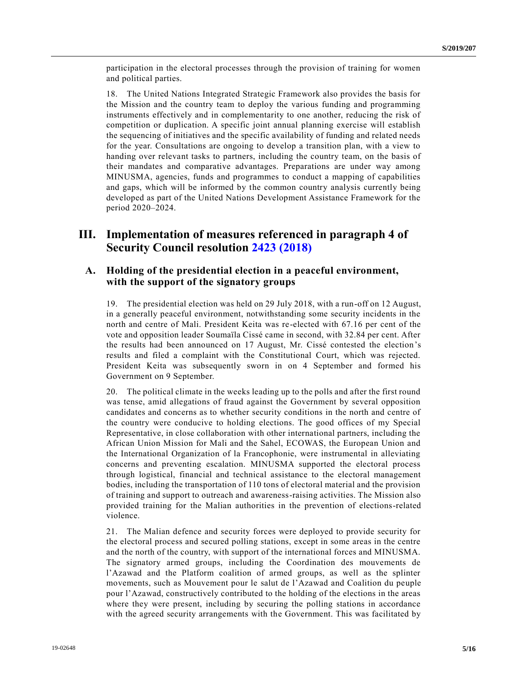participation in the electoral processes through the provision of training for women and political parties.

18. The United Nations Integrated Strategic Framework also provides the basis for the Mission and the country team to deploy the various funding and programming instruments effectively and in complementarity to one another, reducing the risk of competition or duplication. A specific joint annual planning exercise will establish the sequencing of initiatives and the specific availability of funding and related needs for the year. Consultations are ongoing to develop a transition plan, with a view to handing over relevant tasks to partners, including the country team, on the basis of their mandates and comparative advantages. Preparations are under way among MINUSMA, agencies, funds and programmes to conduct a mapping of capabilities and gaps, which will be informed by the common country analysis currently being developed as part of the United Nations Development Assistance Framework for the period 2020–2024.

## **III. Implementation of measures referenced in paragraph 4 of Security Council resolution [2423 \(2018\)](https://undocs.org/en/S/RES/2423%20(2018))**

## **A. Holding of the presidential election in a peaceful environment, with the support of the signatory groups**

19. The presidential election was held on 29 July 2018, with a run-off on 12 August, in a generally peaceful environment, notwithstanding some security incidents in the north and centre of Mali. President Keita was re-elected with 67.16 per cent of the vote and opposition leader Soumaïla Cissé came in second, with 32.84 per cent. After the results had been announced on 17 August, Mr. Cissé contested the election's results and filed a complaint with the Constitutional Court, which was rejected. President Keita was subsequently sworn in on 4 September and formed his Government on 9 September.

20. The political climate in the weeks leading up to the polls and after the first round was tense, amid allegations of fraud against the Government by several opposition candidates and concerns as to whether security conditions in the north and centre of the country were conducive to holding elections. The good offices of my Special Representative, in close collaboration with other international partners, including the African Union Mission for Mali and the Sahel, ECOWAS, the European Union and the International Organization of la Francophonie, were instrumental in alleviating concerns and preventing escalation. MINUSMA supported the electoral process through logistical, financial and technical assistance to the electoral management bodies, including the transportation of 110 tons of electoral material and the provision of training and support to outreach and awareness-raising activities. The Mission also provided training for the Malian authorities in the prevention of elections-related violence.

21. The Malian defence and security forces were deployed to provide security for the electoral process and secured polling stations, except in some areas in the centre and the north of the country, with support of the international forces and MINUSMA. The signatory armed groups, including the Coordination des mouvements de l'Azawad and the Platform coalition of armed groups, as well as the splinter movements, such as Mouvement pour le salut de l'Azawad and Coalition du peuple pour l'Azawad, constructively contributed to the holding of the elections in the areas where they were present, including by securing the polling stations in accordance with the agreed security arrangements with the Government. This was facilitated by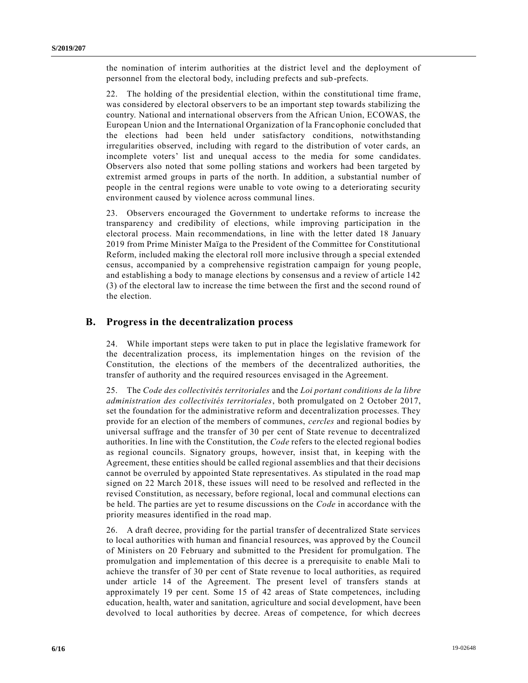the nomination of interim authorities at the district level and the deployment of personnel from the electoral body, including prefects and sub-prefects.

22. The holding of the presidential election, within the constitutional time frame, was considered by electoral observers to be an important step towards stabilizing the country. National and international observers from the African Union, ECOWAS, the European Union and the International Organization of la Francophonie concluded that the elections had been held under satisfactory conditions, notwithstanding irregularities observed, including with regard to the distribution of voter cards, an incomplete voters' list and unequal access to the media for some candidates. Observers also noted that some polling stations and workers had been targeted by extremist armed groups in parts of the north. In addition, a substantial number of people in the central regions were unable to vote owing to a deteriorating security environment caused by violence across communal lines.

23. Observers encouraged the Government to undertake reforms to increase the transparency and credibility of elections, while improving participation in the electoral process. Main recommendations, in line with the letter dated 18 January 2019 from Prime Minister Maïga to the President of the Committee for Constitutional Reform, included making the electoral roll more inclusive through a special extended census, accompanied by a comprehensive registration campaign for young people, and establishing a body to manage elections by consensus and a review of article 142 (3) of the electoral law to increase the time between the first and the second round of the election.

## **B. Progress in the decentralization process**

24. While important steps were taken to put in place the legislative framework for the decentralization process, its implementation hinges on the revision of the Constitution, the elections of the members of the decentralized authorities, the transfer of authority and the required resources envisaged in the Agreement.

25. The *Code des collectivités territoriales* and the *Loi portant conditions de la libre administration des collectivités territoriales*, both promulgated on 2 October 2017, set the foundation for the administrative reform and decentralization processes. They provide for an election of the members of communes, *cercles* and regional bodies by universal suffrage and the transfer of 30 per cent of State revenue to decentralized authorities. In line with the Constitution, the *Code* refers to the elected regional bodies as regional councils. Signatory groups, however, insist that, in keeping with the Agreement, these entities should be called regional assemblies and that their decisions cannot be overruled by appointed State representatives. As stipulated in the road map signed on 22 March 2018, these issues will need to be resolved and reflected in the revised Constitution, as necessary, before regional, local and communal elections can be held. The parties are yet to resume discussions on the *Code* in accordance with the priority measures identified in the road map.

26. A draft decree, providing for the partial transfer of decentralized State services to local authorities with human and financial resources, was approved by the Council of Ministers on 20 February and submitted to the President for promulgation. The promulgation and implementation of this decree is a prerequisite to enable Mali to achieve the transfer of 30 per cent of State revenue to local authorities, as required under article 14 of the Agreement. The present level of transfers stands at approximately 19 per cent. Some 15 of 42 areas of State competences, including education, health, water and sanitation, agriculture and social development, have been devolved to local authorities by decree. Areas of competence, for which decrees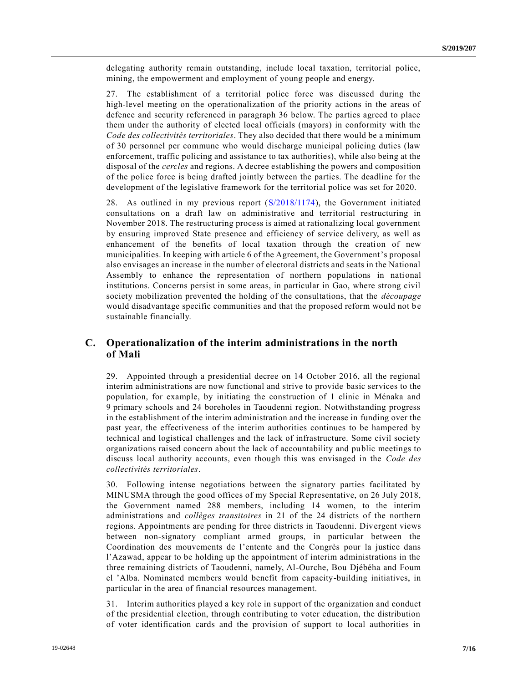delegating authority remain outstanding, include local taxation, territorial police, mining, the empowerment and employment of young people and energy.

27. The establishment of a territorial police force was discussed during the high-level meeting on the operationalization of the priority actions in the areas of defence and security referenced in paragraph 36 below. The parties agreed to place them under the authority of elected local officials (mayors) in conformity with the *Code des collectivités territoriales*. They also decided that there would be a minimum of 30 personnel per commune who would discharge municipal policing duties (law enforcement, traffic policing and assistance to tax authorities), while also being at the disposal of the *cercles* and regions. A decree establishing the powers and composition of the police force is being drafted jointly between the parties. The deadline for the development of the legislative framework for the territorial police was set for 2020.

28. As outlined in my previous report [\(S/2018/1174\)](https://undocs.org/en/S/2018/1174), the Government initiated consultations on a draft law on administrative and territorial restructuring in November 2018. The restructuring process is aimed at rationalizing local government by ensuring improved State presence and efficiency of service delivery, as well as enhancement of the benefits of local taxation through the creation of new municipalities. In keeping with article 6 of the Agreement, the Government's proposal also envisages an increase in the number of electoral districts and seats in the National Assembly to enhance the representation of northern populations in national institutions. Concerns persist in some areas, in particular in Gao, where strong civil society mobilization prevented the holding of the consultations, that the *découpage* would disadvantage specific communities and that the proposed reform would not be sustainable financially.

## **C. Operationalization of the interim administrations in the north of Mali**

29. Appointed through a presidential decree on 14 October 2016, all the regional interim administrations are now functional and strive to provide basic services to the population, for example, by initiating the construction of 1 clinic in Ménaka and 9 primary schools and 24 boreholes in Taoudenni region. Notwithstanding progress in the establishment of the interim administration and the increase in funding over the past year, the effectiveness of the interim authorities continues to be hampered by technical and logistical challenges and the lack of infrastructure. Some civil society organizations raised concern about the lack of accountability and public meetings to discuss local authority accounts, even though this was envisaged in the *Code des collectivités territoriales*.

30. Following intense negotiations between the signatory parties facilitated by MINUSMA through the good offices of my Special Representative, on 26 July 2018, the Government named 288 members, including 14 women, to the interim administrations and *collèges transitoires* in 21 of the 24 districts of the northern regions. Appointments are pending for three districts in Taoudenni. Divergent views between non-signatory compliant armed groups, in particular between the Coordination des mouvements de l'entente and the Congrès pour la justice dans l'Azawad, appear to be holding up the appointment of interim administrations in the three remaining districts of Taoudenni, namely, Al-Ourche, Bou Djébéha and Foum el 'Alba. Nominated members would benefit from capacity-building initiatives, in particular in the area of financial resources management.

31. Interim authorities played a key role in support of the organization and conduct of the presidential election, through contributing to voter education, the distribution of voter identification cards and the provision of support to local authorities in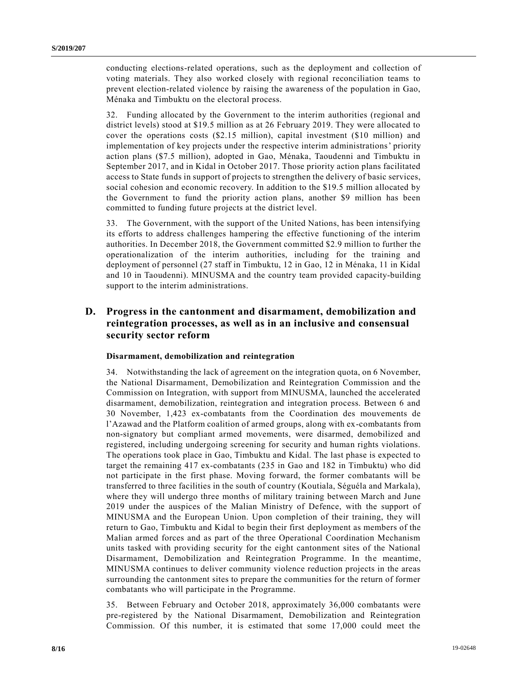conducting elections-related operations, such as the deployment and collection of voting materials. They also worked closely with regional reconciliation teams to prevent election-related violence by raising the awareness of the population in Gao, Ménaka and Timbuktu on the electoral process.

32. Funding allocated by the Government to the interim authorities (regional and district levels) stood at \$19.5 million as at 26 February 2019. They were allocated to cover the operations costs (\$2.15 million), capital investment (\$10 million) and implementation of key projects under the respective interim administrations' priority action plans (\$7.5 million), adopted in Gao, Ménaka, Taoudenni and Timbuktu in September 2017, and in Kidal in October 2017. Those priority action plans facilitated access to State funds in support of projects to strengthen the delivery of basic services, social cohesion and economic recovery. In addition to the \$19.5 million allocated by the Government to fund the priority action plans, another \$9 million has been committed to funding future projects at the district level.

33. The Government, with the support of the United Nations, has been intensifying its efforts to address challenges hampering the effective functioning of the interim authorities. In December 2018, the Government committed \$2.9 million to further the operationalization of the interim authorities, including for the training and deployment of personnel (27 staff in Timbuktu, 12 in Gao, 12 in Ménaka, 11 in Kidal and 10 in Taoudenni). MINUSMA and the country team provided capacity-building support to the interim administrations.

## **D. Progress in the cantonment and disarmament, demobilization and reintegration processes, as well as in an inclusive and consensual security sector reform**

### **Disarmament, demobilization and reintegration**

34. Notwithstanding the lack of agreement on the integration quota, on 6 November, the National Disarmament, Demobilization and Reintegration Commission and the Commission on Integration, with support from MINUSMA, launched the accelerated disarmament, demobilization, reintegration and integration process. Between 6 and 30 November, 1,423 ex-combatants from the Coordination des mouvements de l'Azawad and the Platform coalition of armed groups, along with ex-combatants from non-signatory but compliant armed movements, were disarmed, demobilized and registered, including undergoing screening for security and human rights violations. The operations took place in Gao, Timbuktu and Kidal. The last phase is expected to target the remaining 417 ex-combatants (235 in Gao and 182 in Timbuktu) who did not participate in the first phase. Moving forward, the former combatants will be transferred to three facilities in the south of country (Koutiala, Séguéla and Markala), where they will undergo three months of military training between March and June 2019 under the auspices of the Malian Ministry of Defence, with the support of MINUSMA and the European Union. Upon completion of their training, they will return to Gao, Timbuktu and Kidal to begin their first deployment as members of the Malian armed forces and as part of the three Operational Coordination Mechanism units tasked with providing security for the eight cantonment sites of the National Disarmament, Demobilization and Reintegration Programme. In the meantime, MINUSMA continues to deliver community violence reduction projects in the areas surrounding the cantonment sites to prepare the communities for the return of former combatants who will participate in the Programme.

35. Between February and October 2018, approximately 36,000 combatants were pre-registered by the National Disarmament, Demobilization and Reintegration Commission. Of this number, it is estimated that some 17,000 could meet the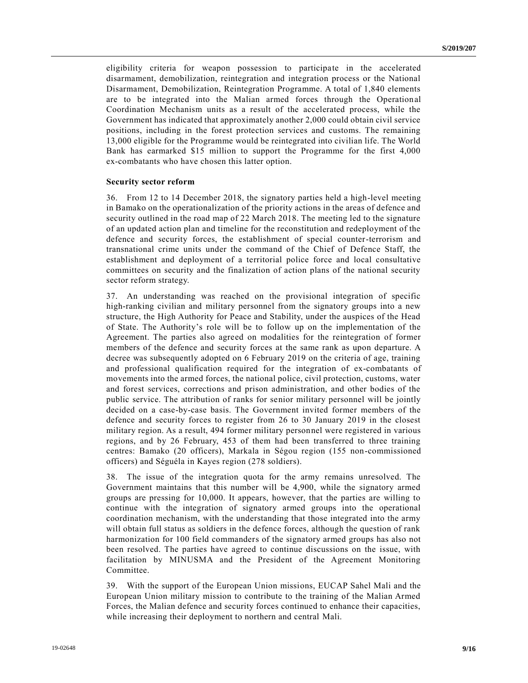eligibility criteria for weapon possession to participate in the accelerated disarmament, demobilization, reintegration and integration process or the National Disarmament, Demobilization, Reintegration Programme. A total of 1,840 elements are to be integrated into the Malian armed forces through the Operational Coordination Mechanism units as a result of the accelerated process, while the Government has indicated that approximately another 2,000 could obtain civil service positions, including in the forest protection services and customs. The remaining 13,000 eligible for the Programme would be reintegrated into civilian life. The World Bank has earmarked \$15 million to support the Programme for the first 4,000 ex-combatants who have chosen this latter option.

#### **Security sector reform**

36. From 12 to 14 December 2018, the signatory parties held a high-level meeting in Bamako on the operationalization of the priority actions in the areas of defence and security outlined in the road map of 22 March 2018. The meeting led to the signature of an updated action plan and timeline for the reconstitution and redeployment of the defence and security forces, the establishment of special counter-terrorism and transnational crime units under the command of the Chief of Defence Staff, the establishment and deployment of a territorial police force and local consultative committees on security and the finalization of action plans of the national security sector reform strategy.

37. An understanding was reached on the provisional integration of specific high-ranking civilian and military personnel from the signatory groups into a new structure, the High Authority for Peace and Stability, under the auspices of the Head of State. The Authority's role will be to follow up on the implementation of the Agreement. The parties also agreed on modalities for the reintegration of former members of the defence and security forces at the same rank as upon departure. A decree was subsequently adopted on 6 February 2019 on the criteria of age, training and professional qualification required for the integration of ex-combatants of movements into the armed forces, the national police, civil protection, customs, water and forest services, corrections and prison administration, and other bodies of the public service. The attribution of ranks for senior military personnel will be jointly decided on a case-by-case basis. The Government invited former members of the defence and security forces to register from 26 to 30 January 2019 in the closest military region. As a result, 494 former military personnel were registered in various regions, and by 26 February, 453 of them had been transferred to three training centres: Bamako (20 officers), Markala in Ségou region (155 non-commissioned officers) and Séguéla in Kayes region (278 soldiers).

38. The issue of the integration quota for the army remains unresolved. The Government maintains that this number will be 4,900, while the signatory armed groups are pressing for 10,000. It appears, however, that the parties are willing to continue with the integration of signatory armed groups into the operational coordination mechanism, with the understanding that those integrated into the army will obtain full status as soldiers in the defence forces, although the question of rank harmonization for 100 field commanders of the signatory armed groups has also not been resolved. The parties have agreed to continue discussions on the issue, with facilitation by MINUSMA and the President of the Agreement Monitoring Committee.

39. With the support of the European Union missions, EUCAP Sahel Mali and the European Union military mission to contribute to the training of the Malian Armed Forces, the Malian defence and security forces continued to enhance their capacities, while increasing their deployment to northern and central Mali.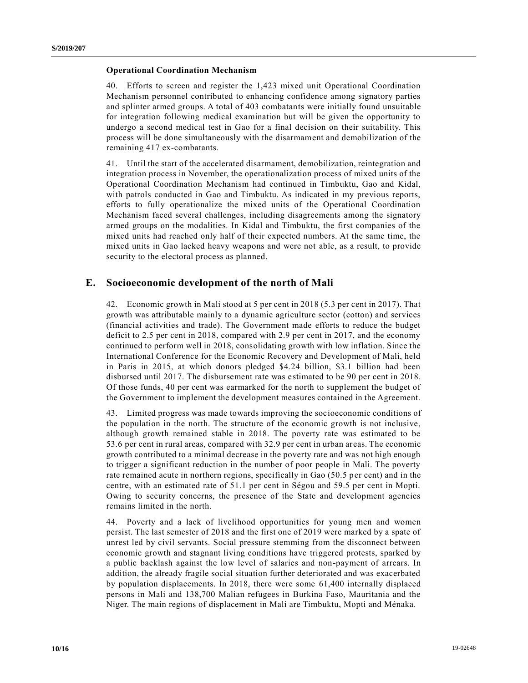#### **Operational Coordination Mechanism**

40. Efforts to screen and register the 1,423 mixed unit Operational Coordination Mechanism personnel contributed to enhancing confidence among signatory parties and splinter armed groups. A total of 403 combatants were initially found unsuitable for integration following medical examination but will be given the opportunity to undergo a second medical test in Gao for a final decision on their suitability. This process will be done simultaneously with the disarmament and demobilization of the remaining 417 ex-combatants.

41. Until the start of the accelerated disarmament, demobilization, reintegration and integration process in November, the operationalization process of mixed units of the Operational Coordination Mechanism had continued in Timbuktu, Gao and Kidal, with patrols conducted in Gao and Timbuktu. As indicated in my previous reports, efforts to fully operationalize the mixed units of the Operational Coordination Mechanism faced several challenges, including disagreements among the signatory armed groups on the modalities. In Kidal and Timbuktu, the first companies of the mixed units had reached only half of their expected numbers. At the same time, the mixed units in Gao lacked heavy weapons and were not able, as a result, to provide security to the electoral process as planned.

### **E. Socioeconomic development of the north of Mali**

42. Economic growth in Mali stood at 5 per cent in 2018 (5.3 per cent in 2017). That growth was attributable mainly to a dynamic agriculture sector (cotton) and services (financial activities and trade). The Government made efforts to reduce the budget deficit to 2.5 per cent in 2018, compared with 2.9 per cent in 2017, and the economy continued to perform well in 2018, consolidating growth with low inflation. Since the International Conference for the Economic Recovery and Development of Mali, held in Paris in 2015, at which donors pledged \$4.24 billion, \$3.1 billion had been disbursed until 2017. The disbursement rate was estimated to be 90 per cent in 2018. Of those funds, 40 per cent was earmarked for the north to supplement the budget of the Government to implement the development measures contained in the Agreement.

43. Limited progress was made towards improving the socioeconomic conditions of the population in the north. The structure of the economic growth is not inclusive, although growth remained stable in 2018. The poverty rate was estimated to be 53.6 per cent in rural areas, compared with 32.9 per cent in urban areas. The economic growth contributed to a minimal decrease in the poverty rate and was not high enough to trigger a significant reduction in the number of poor people in Mali. The poverty rate remained acute in northern regions, specifically in Gao (50.5 per cent) and in the centre, with an estimated rate of 51.1 per cent in Ségou and 59.5 per cent in Mopti. Owing to security concerns, the presence of the State and development agencies remains limited in the north.

44. Poverty and a lack of livelihood opportunities for young men and women persist. The last semester of 2018 and the first one of 2019 were marked by a spate of unrest led by civil servants. Social pressure stemming from the disconnect between economic growth and stagnant living conditions have triggered protests, sparked by a public backlash against the low level of salaries and non-payment of arrears. In addition, the already fragile social situation further deteriorated and was exacerbated by population displacements. In 2018, there were some 61,400 internally displaced persons in Mali and 138,700 Malian refugees in Burkina Faso, Mauritania and the Niger. The main regions of displacement in Mali are Timbuktu, Mopti and Ménaka.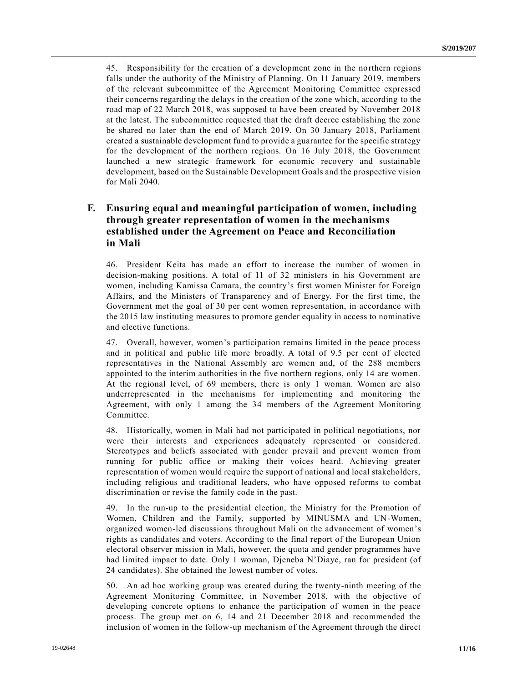45. Responsibility for the creation of a development zone in the northern regions falls under the authority of the Ministry of Planning. On 11 January 2019, members of the relevant subcommittee of the Agreement Monitoring Committee expressed their concerns regarding the delays in the creation of the zone which, according to the road map of 22 March 2018, was supposed to have been created by November 2018 at the latest. The subcommittee requested that the draft decree establishing the zone be shared no later than the end of March 2019. On 30 January 2018, Parliament created a sustainable development fund to provide a guarantee for the specific strategy for the development of the northern regions. On 16 July 2018, the Government launched a new strategic framework for economic recovery and sustainable development, based on the Sustainable Development Goals and the prospective vision for Mali 2040.

## **F. Ensuring equal and meaningful participation of women, including through greater representation of women in the mechanisms established under the Agreement on Peace and Reconciliation in Mali**

46. President Keita has made an effort to increase the number of women in decision-making positions. A total of 11 of 32 ministers in his Government are women, including Kamissa Camara, the country's first women Minister for Foreign Affairs, and the Ministers of Transparency and of Energy. For the first time, the Government met the goal of 30 per cent women representation, in accordance with the 2015 law instituting measures to promote gender equality in access to nominative and elective functions.

47. Overall, however, women's participation remains limited in the peace process and in political and public life more broadly. A total of 9.5 per cent of elected representatives in the National Assembly are women and, of the 288 members appointed to the interim authorities in the five northern regions, only 14 are women. At the regional level, of 69 members, there is only 1 woman. Women are also underrepresented in the mechanisms for implementing and monitoring the Agreement, with only 1 among the 34 members of the Agreement Monitoring Committee.

48. Historically, women in Mali had not participated in political negotiations, nor were their interests and experiences adequately represented or considered. Stereotypes and beliefs associated with gender prevail and prevent women from running for public office or making their voices heard. Achieving greater representation of women would require the support of national and local stakeholders, including religious and traditional leaders, who have opposed reforms to combat discrimination or revise the family code in the past.

49. In the run-up to the presidential election, the Ministry for the Promotion of Women, Children and the Family, supported by MINUSMA and UN-Women, organized women-led discussions throughout Mali on the advancement of women's rights as candidates and voters. According to the final report of the European Union electoral observer mission in Mali, however, the quota and gender programmes have had limited impact to date. Only 1 woman, Djeneba N'Diaye, ran for president (of 24 candidates). She obtained the lowest number of votes.

50. An ad hoc working group was created during the twenty-ninth meeting of the Agreement Monitoring Committee, in November 2018, with the objective of developing concrete options to enhance the participation of women in the peace process. The group met on 6, 14 and 21 December 2018 and recommended the inclusion of women in the follow-up mechanism of the Agreement through the direct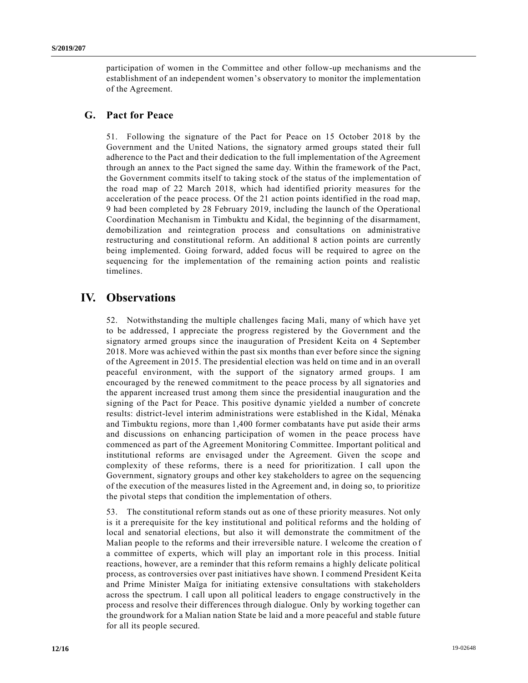participation of women in the Committee and other follow-up mechanisms and the establishment of an independent women's observatory to monitor the implementation of the Agreement.

### **G. Pact for Peace**

51. Following the signature of the Pact for Peace on 15 October 2018 by the Government and the United Nations, the signatory armed groups stated their full adherence to the Pact and their dedication to the full implementation of the Agreement through an annex to the Pact signed the same day. Within the framework of the Pact, the Government commits itself to taking stock of the status of the implementation of the road map of 22 March 2018, which had identified priority measures for the acceleration of the peace process. Of the 21 action points identified in the road map, 9 had been completed by 28 February 2019, including the launch of the Operational Coordination Mechanism in Timbuktu and Kidal, the beginning of the disarmament, demobilization and reintegration process and consultations on administrative restructuring and constitutional reform. An additional 8 action points are currently being implemented. Going forward, added focus will be required to agree on the sequencing for the implementation of the remaining action points and realistic timelines.

# **IV. Observations**

52. Notwithstanding the multiple challenges facing Mali, many of which have yet to be addressed, I appreciate the progress registered by the Government and the signatory armed groups since the inauguration of President Keita on 4 September 2018. More was achieved within the past six months than ever before since the signing of the Agreement in 2015. The presidential election was held on time and in an overall peaceful environment, with the support of the signatory armed groups. I am encouraged by the renewed commitment to the peace process by all signatories and the apparent increased trust among them since the presidential inauguration and the signing of the Pact for Peace. This positive dynamic yielded a number of concrete results: district-level interim administrations were established in the Kidal, Ménaka and Timbuktu regions, more than 1,400 former combatants have put aside their arms and discussions on enhancing participation of women in the peace process have commenced as part of the Agreement Monitoring Committee. Important political and institutional reforms are envisaged under the Agreement. Given the scope and complexity of these reforms, there is a need for prioritization. I call upon the Government, signatory groups and other key stakeholders to agree on the sequencing of the execution of the measures listed in the Agreement and, in doing so, to prioritize the pivotal steps that condition the implementation of others.

53. The constitutional reform stands out as one of these priority measures. Not only is it a prerequisite for the key institutional and political reforms and the holding of local and senatorial elections, but also it will demonstrate the commitment of the Malian people to the reforms and their irreversible nature. I welcome the creation of a committee of experts, which will play an important role in this process. Initial reactions, however, are a reminder that this reform remains a highly delicate political process, as controversies over past initiatives have shown. I commend President Keita and Prime Minister Maïga for initiating extensive consultations with stakeholders across the spectrum. I call upon all political leaders to engage constructively in the process and resolve their differences through dialogue. Only by working together can the groundwork for a Malian nation State be laid and a more peaceful and stable future for all its people secured.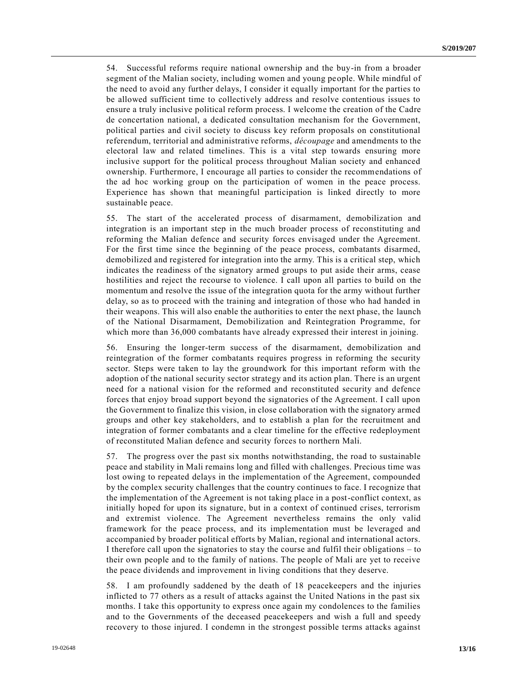54. Successful reforms require national ownership and the buy-in from a broader segment of the Malian society, including women and young people. While mindful of the need to avoid any further delays, I consider it equally important for the parties to be allowed sufficient time to collectively address and resolve contentious issues to ensure a truly inclusive political reform process. I welcome the creation of the Cadre de concertation national, a dedicated consultation mechanism for the Government, political parties and civil society to discuss key reform proposals on constitutional referendum, territorial and administrative reforms, *découpage* and amendments to the electoral law and related timelines. This is a vital step towards ensuring more inclusive support for the political process throughout Malian society and enhanced ownership. Furthermore, I encourage all parties to consider the recommendations of the ad hoc working group on the participation of women in the peace process. Experience has shown that meaningful participation is linked directly to more sustainable peace.

55. The start of the accelerated process of disarmament, demobilization and integration is an important step in the much broader process of reconstituting and reforming the Malian defence and security forces envisaged under the Agreement. For the first time since the beginning of the peace process, combatants disarmed, demobilized and registered for integration into the army. This is a critical step, which indicates the readiness of the signatory armed groups to put aside their arms, cease hostilities and reject the recourse to violence. I call upon all parties to build on the momentum and resolve the issue of the integration quota for the army without further delay, so as to proceed with the training and integration of those who had handed in their weapons. This will also enable the authorities to enter the next phase, the launch of the National Disarmament, Demobilization and Reintegration Programme, for which more than 36,000 combatants have already expressed their interest in joining.

56. Ensuring the longer-term success of the disarmament, demobilization and reintegration of the former combatants requires progress in reforming the security sector. Steps were taken to lay the groundwork for this important reform with the adoption of the national security sector strategy and its action plan. There is an urgent need for a national vision for the reformed and reconstituted security and defence forces that enjoy broad support beyond the signatories of the Agreement. I call upon the Government to finalize this vision, in close collaboration with the signatory armed groups and other key stakeholders, and to establish a plan for the recruitment and integration of former combatants and a clear timeline for the effective redeployment of reconstituted Malian defence and security forces to northern Mali.

57. The progress over the past six months notwithstanding, the road to sustainable peace and stability in Mali remains long and filled with challenges. Precious time was lost owing to repeated delays in the implementation of the Agreement, compounded by the complex security challenges that the country continues to face. I recognize that the implementation of the Agreement is not taking place in a post-conflict context, as initially hoped for upon its signature, but in a context of continued crises, terrorism and extremist violence. The Agreement nevertheless remains the only valid framework for the peace process, and its implementation must be leveraged and accompanied by broader political efforts by Malian, regional and international actors. I therefore call upon the signatories to stay the course and fulfil their obligations – to their own people and to the family of nations. The people of Mali are yet to receive the peace dividends and improvement in living conditions that they deserve.

58. I am profoundly saddened by the death of 18 peacekeepers and the injuries inflicted to 77 others as a result of attacks against the United Nations in the past six months. I take this opportunity to express once again my condolences to the families and to the Governments of the deceased peacekeepers and wish a full and speedy recovery to those injured. I condemn in the strongest possible terms attacks against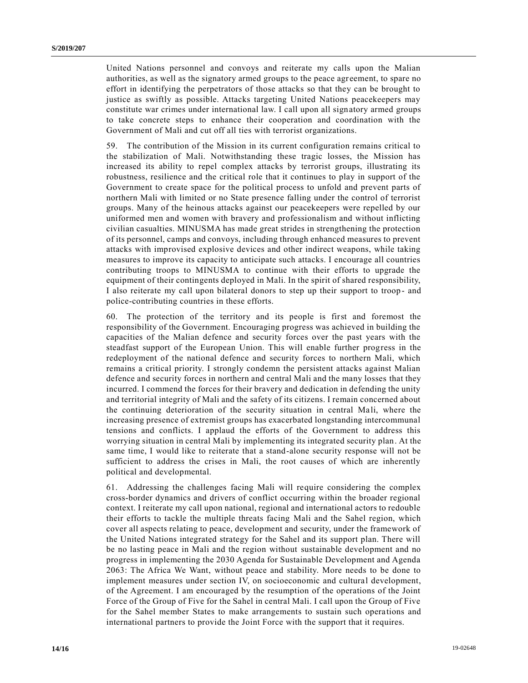United Nations personnel and convoys and reiterate my calls upon the Malian authorities, as well as the signatory armed groups to the peace agreement, to spare no effort in identifying the perpetrators of those attacks so that they can be brought to justice as swiftly as possible. Attacks targeting United Nations peacekeepers may constitute war crimes under international law. I call upon all signatory armed groups to take concrete steps to enhance their cooperation and coordination with the Government of Mali and cut off all ties with terrorist organizations.

59. The contribution of the Mission in its current configuration remains critical to the stabilization of Mali. Notwithstanding these tragic losses, the Mission has increased its ability to repel complex attacks by terrorist groups, illustrating its robustness, resilience and the critical role that it continues to play in support of the Government to create space for the political process to unfold and prevent parts of northern Mali with limited or no State presence falling under the control of terrorist groups. Many of the heinous attacks against our peacekeepers were repelled by our uniformed men and women with bravery and professionalism and without inflicting civilian casualties. MINUSMA has made great strides in strengthening the protection of its personnel, camps and convoys, including through enhanced measures to prevent attacks with improvised explosive devices and other indirect weapons, while taking measures to improve its capacity to anticipate such attacks. I encourage all countries contributing troops to MINUSMA to continue with their efforts to upgrade the equipment of their contingents deployed in Mali. In the spirit of shared responsibility, I also reiterate my call upon bilateral donors to step up their support to troop - and police-contributing countries in these efforts.

60. The protection of the territory and its people is first and foremost the responsibility of the Government. Encouraging progress was achieved in building the capacities of the Malian defence and security forces over the past years with the steadfast support of the European Union. This will enable further progress in the redeployment of the national defence and security forces to northern Mali, which remains a critical priority. I strongly condemn the persistent attacks against Malian defence and security forces in northern and central Mali and the many losses that they incurred. I commend the forces for their bravery and dedication in defending the unity and territorial integrity of Mali and the safety of its citizens. I remain concerned about the continuing deterioration of the security situation in central Mali, where the increasing presence of extremist groups has exacerbated longstanding intercommunal tensions and conflicts. I applaud the efforts of the Government to address this worrying situation in central Mali by implementing its integrated security plan. At the same time, I would like to reiterate that a stand-alone security response will not be sufficient to address the crises in Mali, the root causes of which are inherently political and developmental.

61. Addressing the challenges facing Mali will require considering the complex cross-border dynamics and drivers of conflict occurring within the broader regional context. I reiterate my call upon national, regional and international actors to redouble their efforts to tackle the multiple threats facing Mali and the Sahel region, which cover all aspects relating to peace, development and security, under the framework of the United Nations integrated strategy for the Sahel and its support plan. There will be no lasting peace in Mali and the region without sustainable development and no progress in implementing the 2030 Agenda for Sustainable Development and Agenda 2063: The Africa We Want, without peace and stability. More needs to be done to implement measures under section IV, on socioeconomic and cultural development, of the Agreement. I am encouraged by the resumption of the operations of the Joint Force of the Group of Five for the Sahel in central Mali. I call upon the Group of Five for the Sahel member States to make arrangements to sustain such opera tions and international partners to provide the Joint Force with the support that it requires.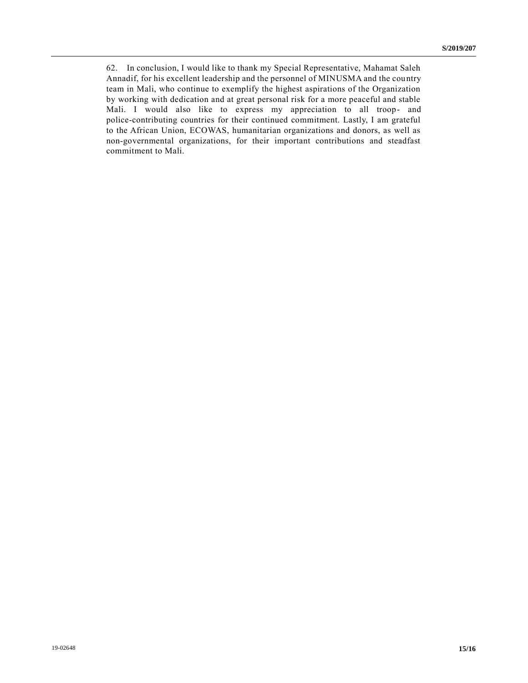62. In conclusion, I would like to thank my Special Representative, Mahamat Saleh Annadif, for his excellent leadership and the personnel of MINUSMA and the country team in Mali, who continue to exemplify the highest aspirations of the Organization by working with dedication and at great personal risk for a more peaceful and stable Mali. I would also like to express my appreciation to all troop- and police-contributing countries for their continued commitment. Lastly, I am grateful to the African Union, ECOWAS, humanitarian organizations and donors, as well as non-governmental organizations, for their important contributions and steadfast commitment to Mali.